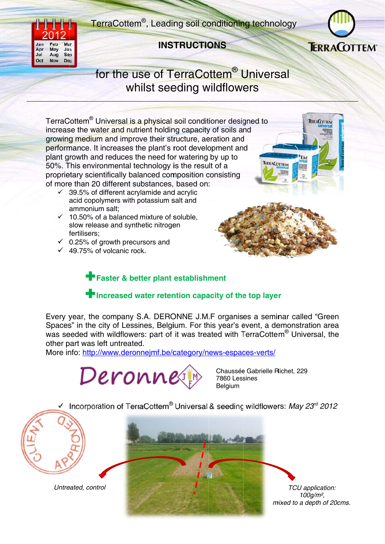TerraCottem<sup>®</sup>, Leading soil conditioning technology



## **INSTRUCTIONS**



## for the use of TerraCottem<sup>®</sup> Universal whilst seeding wildflowers

TerraCottem<sup>®</sup> Universal is a physical soil conditioner designed to increase the water and nutrient holding capacity of soils and growing medium and improve their structure, aeration and performance. It increases the plant's root development and plant growth and reduces the need for watering by up to 50%. This environmental technology is the result of a proprietary scientifically balanced composition consisting of more than 20 different substances, based on:

- $\checkmark$  39.5% of different acrylamide and acrylic acid copolymers with potassium salt and ammonium salt:
- $\checkmark$  10.50% of a balanced mixture of soluble. slow release and synthetic nitrogen fertilisers;
- $\checkmark$  0.25% of growth precursors and
- $\checkmark$  49.75% of volcanic rock.





## Faster & better plant establishment

## Increased water retention capacity of the top layer

Every year, the company S.A. DERONNE J.M.F organises a seminar called "Green" Spaces" in the city of Lessines, Belgium. For this year's event, a demonstration area was seeded with wildflowers: part of it was treated with TerraCottem<sup>®</sup> Universal, the other part was left untreated.

More info: http://www.deronnejmf.be/category/news-espaces-verts/



Chaussée Gabrielle Richet, 229 7860 Lessines **Belaium** 

Incorporation of TerraCottem® Universal & seeding wildflowers: May 23rd 2012